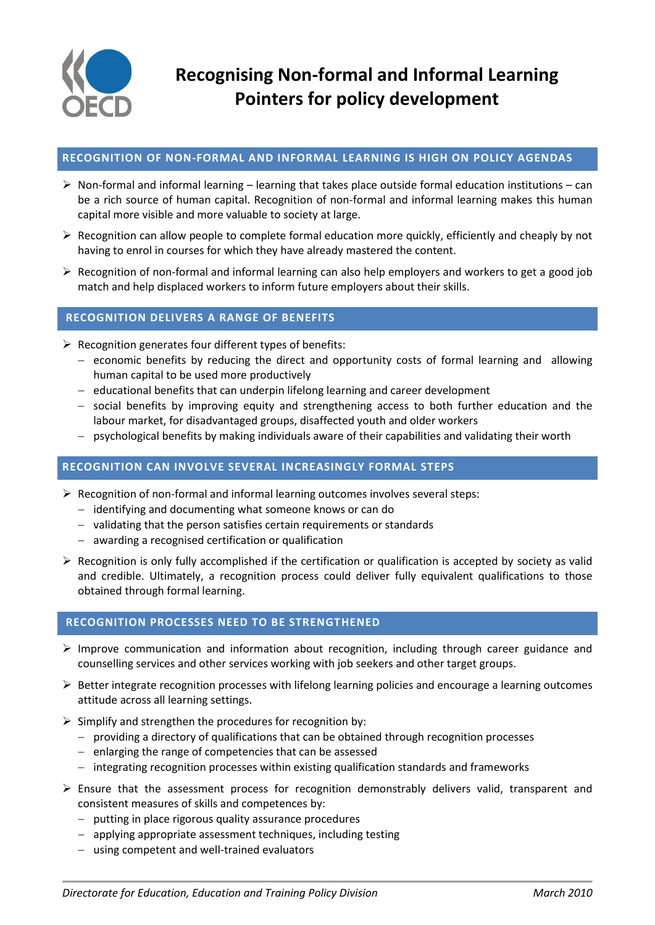

# **RECOGNITION OF NON-FORMAL AND INFORMAL LEARNING IS HIGH ON POLICY AGENDAS**

- $\triangleright$  Non-formal and informal learning learning that takes place outside formal education institutions can be a rich source of human capital. Recognition of non-formal and informal learning makes this human capital more visible and more valuable to society at large.
- $\triangleright$  Recognition can allow people to complete formal education more quickly, efficiently and cheaply by not having to enrol in courses for which they have already mastered the content.
- Recognition of non-formal and informal learning can also help employers and workers to get a good job match and help displaced workers to inform future employers about their skills.

# **RECOGNITION DELIVERS A RANGE OF BENEFITS**

- $\triangleright$  Recognition generates four different types of benefits:
	- $-$  economic benefits by reducing the direct and opportunity costs of formal learning and allowing human capital to be used more productively
	- educational benefits that can underpin lifelong learning and career development
	- $-$  social benefits by improving equity and strengthening access to both further education and the labour market, for disadvantaged groups, disaffected youth and older workers
	- $-$  psychological benefits by making individuals aware of their capabilities and validating their worth

#### **RECOGNITION CAN INVOLVE SEVERAL INCREASINGLY FORMAL STEPS**

- $\triangleright$  Recognition of non-formal and informal learning outcomes involves several steps:
	- identifying and documenting what someone knows or can do
	- validating that the person satisfies certain requirements or standards
	- awarding a recognised certification or qualification
- $\triangleright$  Recognition is only fully accomplished if the certification or qualification is accepted by society as valid and credible. Ultimately, a recognition process could deliver fully equivalent qualifications to those obtained through formal learning.

### **RECOGNITION PROCESSES NEED TO BE STRENGTHENED**

- $\triangleright$  Improve communication and information about recognition, including through career guidance and counselling services and other services working with job seekers and other target groups.
- $\triangleright$  Better integrate recognition processes with lifelong learning policies and encourage a learning outcomes attitude across all learning settings.
- $\triangleright$  Simplify and strengthen the procedures for recognition by:
	- providing a directory of qualifications that can be obtained through recognition processes
	- $e$  enlarging the range of competencies that can be assessed
	- integrating recognition processes within existing qualification standards and frameworks
- $\triangleright$  Ensure that the assessment process for recognition demonstrably delivers valid, transparent and consistent measures of skills and competences by:
	- $-$  putting in place rigorous quality assurance procedures
	- applying appropriate assessment techniques, including testing
	- using competent and well-trained evaluators